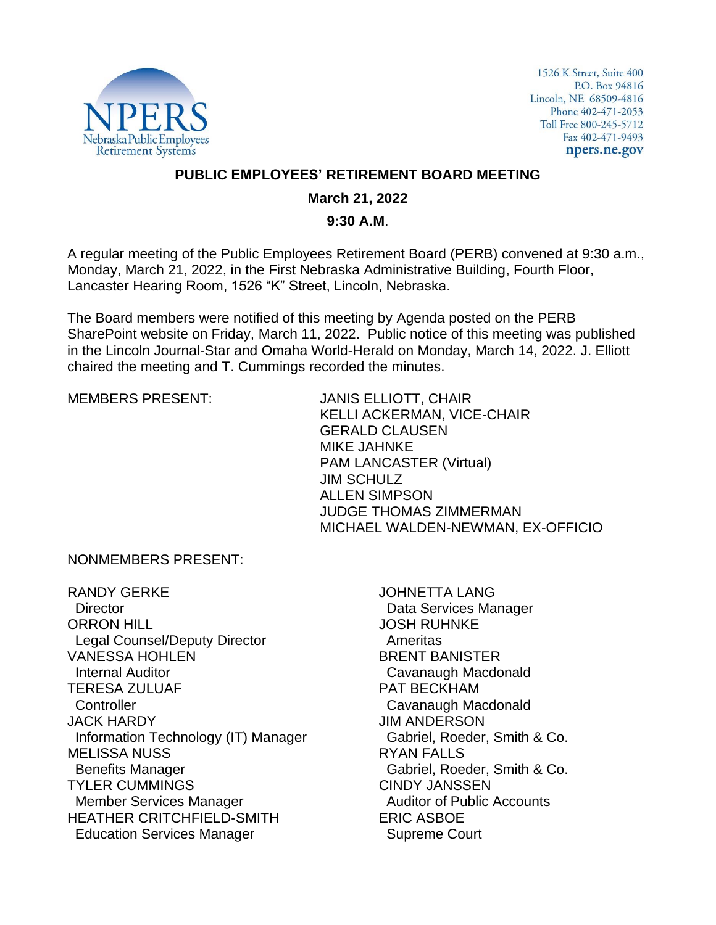

1526 K Street, Suite 400 P.O. Box 94816 Lincoln, NE 68509-4816 Phone 402-471-2053 Toll Free 800-245-5712 Fax 402-471-9493 npers.ne.gov

## **PUBLIC EMPLOYEES' RETIREMENT BOARD MEETING**

#### **March 21, 2022**

#### **9:30 A.M**.

A regular meeting of the Public Employees Retirement Board (PERB) convened at 9:30 a.m., Monday, March 21, 2022, in the First Nebraska Administrative Building, Fourth Floor, Lancaster Hearing Room, 1526 "K" Street, Lincoln, Nebraska.

The Board members were notified of this meeting by Agenda posted on the PERB SharePoint website on Friday, March 11, 2022. Public notice of this meeting was published in the Lincoln Journal-Star and Omaha World-Herald on Monday, March 14, 2022. J. Elliott chaired the meeting and T. Cummings recorded the minutes.

MEMBERS PRESENT: JANIS ELLIOTT, CHAIR KELLI ACKERMAN, VICE-CHAIR GERALD CLAUSEN MIKE JAHNKE PAM LANCASTER (Virtual) JIM SCHULZ ALLEN SIMPSON JUDGE THOMAS ZIMMERMAN MICHAEL WALDEN-NEWMAN, EX-OFFICIO

NONMEMBERS PRESENT:

RANDY GERKE **Director** ORRON HILL Legal Counsel/Deputy Director VANESSA HOHLEN Internal Auditor TERESA ZULUAF **Controller** JACK HARDY Information Technology (IT) Manager MELISSA NUSS Benefits Manager TYLER CUMMINGS Member Services Manager HEATHER CRITCHFIELD-SMITH Education Services Manager

JOHNETTA LANG Data Services Manager JOSH RUHNKE Ameritas BRENT BANISTER Cavanaugh Macdonald PAT BECKHAM Cavanaugh Macdonald JIM ANDERSON Gabriel, Roeder, Smith & Co. RYAN FALLS Gabriel, Roeder, Smith & Co. CINDY JANSSEN Auditor of Public Accounts ERIC ASBOE Supreme Court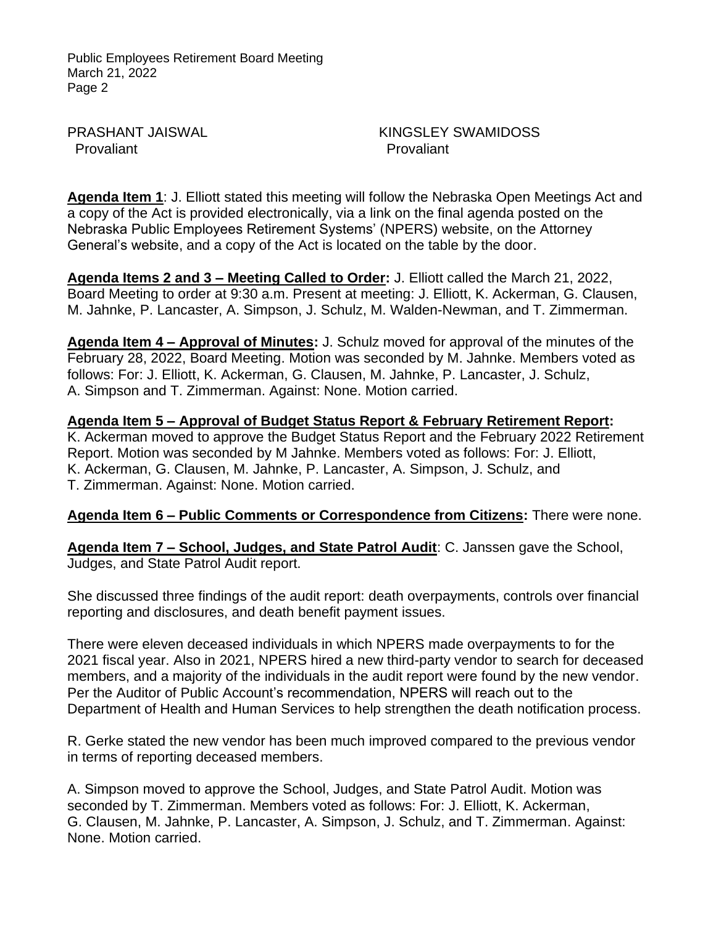PRASHANT JAISWAL Provaliant

KINGSLEY SWAMIDOSS Provaliant

**Agenda Item 1**: J. Elliott stated this meeting will follow the Nebraska Open Meetings Act and a copy of the Act is provided electronically, via a link on the final agenda posted on the Nebraska Public Employees Retirement Systems' (NPERS) website, on the Attorney General's website, and a copy of the Act is located on the table by the door.

**Agenda Items 2 and 3 – Meeting Called to Order:** J. Elliott called the March 21, 2022, Board Meeting to order at 9:30 a.m. Present at meeting: J. Elliott, K. Ackerman, G. Clausen, M. Jahnke, P. Lancaster, A. Simpson, J. Schulz, M. Walden-Newman, and T. Zimmerman.

**Agenda Item 4 – Approval of Minutes:** J. Schulz moved for approval of the minutes of the February 28, 2022, Board Meeting. Motion was seconded by M. Jahnke. Members voted as follows: For: J. Elliott, K. Ackerman, G. Clausen, M. Jahnke, P. Lancaster, J. Schulz, A. Simpson and T. Zimmerman. Against: None. Motion carried.

**Agenda Item 5 – Approval of Budget Status Report & February Retirement Report:**  K. Ackerman moved to approve the Budget Status Report and the February 2022 Retirement Report. Motion was seconded by M Jahnke. Members voted as follows: For: J. Elliott, K. Ackerman, G. Clausen, M. Jahnke, P. Lancaster, A. Simpson, J. Schulz, and T. Zimmerman. Against: None. Motion carried.

## **Agenda Item 6 – Public Comments or Correspondence from Citizens:** There were none.

**Agenda Item 7 – School, Judges, and State Patrol Audit**: C. Janssen gave the School, Judges, and State Patrol Audit report.

She discussed three findings of the audit report: death overpayments, controls over financial reporting and disclosures, and death benefit payment issues.

There were eleven deceased individuals in which NPERS made overpayments to for the 2021 fiscal year. Also in 2021, NPERS hired a new third-party vendor to search for deceased members, and a majority of the individuals in the audit report were found by the new vendor. Per the Auditor of Public Account's recommendation, NPERS will reach out to the Department of Health and Human Services to help strengthen the death notification process.

R. Gerke stated the new vendor has been much improved compared to the previous vendor in terms of reporting deceased members.

A. Simpson moved to approve the School, Judges, and State Patrol Audit. Motion was seconded by T. Zimmerman. Members voted as follows: For: J. Elliott, K. Ackerman, G. Clausen, M. Jahnke, P. Lancaster, A. Simpson, J. Schulz, and T. Zimmerman. Against: None. Motion carried.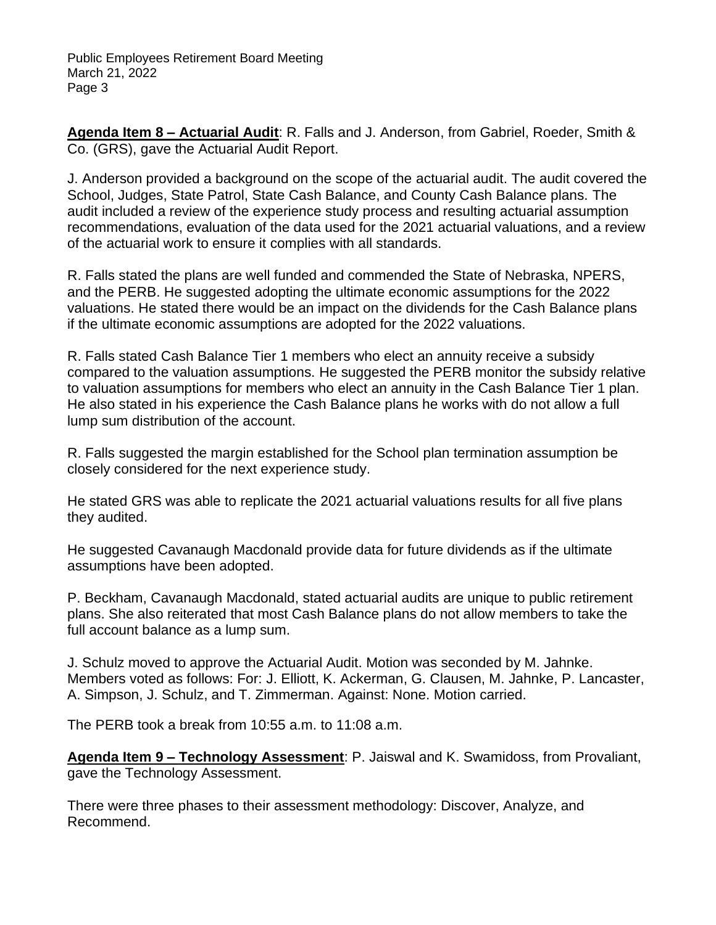**Agenda Item 8 – Actuarial Audit**: R. Falls and J. Anderson, from Gabriel, Roeder, Smith & Co. (GRS), gave the Actuarial Audit Report.

J. Anderson provided a background on the scope of the actuarial audit. The audit covered the School, Judges, State Patrol, State Cash Balance, and County Cash Balance plans. The audit included a review of the experience study process and resulting actuarial assumption recommendations, evaluation of the data used for the 2021 actuarial valuations, and a review of the actuarial work to ensure it complies with all standards.

R. Falls stated the plans are well funded and commended the State of Nebraska, NPERS, and the PERB. He suggested adopting the ultimate economic assumptions for the 2022 valuations. He stated there would be an impact on the dividends for the Cash Balance plans if the ultimate economic assumptions are adopted for the 2022 valuations.

R. Falls stated Cash Balance Tier 1 members who elect an annuity receive a subsidy compared to the valuation assumptions. He suggested the PERB monitor the subsidy relative to valuation assumptions for members who elect an annuity in the Cash Balance Tier 1 plan. He also stated in his experience the Cash Balance plans he works with do not allow a full lump sum distribution of the account.

R. Falls suggested the margin established for the School plan termination assumption be closely considered for the next experience study.

He stated GRS was able to replicate the 2021 actuarial valuations results for all five plans they audited.

He suggested Cavanaugh Macdonald provide data for future dividends as if the ultimate assumptions have been adopted.

P. Beckham, Cavanaugh Macdonald, stated actuarial audits are unique to public retirement plans. She also reiterated that most Cash Balance plans do not allow members to take the full account balance as a lump sum.

J. Schulz moved to approve the Actuarial Audit. Motion was seconded by M. Jahnke. Members voted as follows: For: J. Elliott, K. Ackerman, G. Clausen, M. Jahnke, P. Lancaster, A. Simpson, J. Schulz, and T. Zimmerman. Against: None. Motion carried.

The PERB took a break from 10:55 a.m. to 11:08 a.m.

**Agenda Item 9 – Technology Assessment**: P. Jaiswal and K. Swamidoss, from Provaliant, gave the Technology Assessment.

There were three phases to their assessment methodology: Discover, Analyze, and Recommend.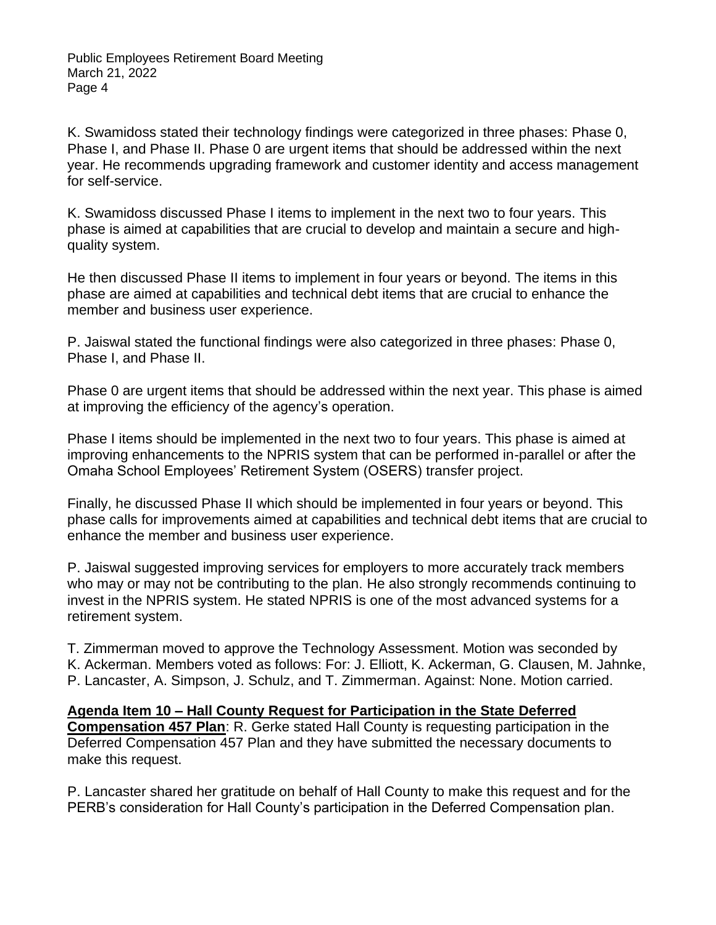K. Swamidoss stated their technology findings were categorized in three phases: Phase 0, Phase I, and Phase II. Phase 0 are urgent items that should be addressed within the next year. He recommends upgrading framework and customer identity and access management for self-service.

K. Swamidoss discussed Phase I items to implement in the next two to four years. This phase is aimed at capabilities that are crucial to develop and maintain a secure and highquality system.

He then discussed Phase II items to implement in four years or beyond. The items in this phase are aimed at capabilities and technical debt items that are crucial to enhance the member and business user experience.

P. Jaiswal stated the functional findings were also categorized in three phases: Phase 0, Phase I, and Phase II.

Phase 0 are urgent items that should be addressed within the next year. This phase is aimed at improving the efficiency of the agency's operation.

Phase I items should be implemented in the next two to four years. This phase is aimed at improving enhancements to the NPRIS system that can be performed in-parallel or after the Omaha School Employees' Retirement System (OSERS) transfer project.

Finally, he discussed Phase II which should be implemented in four years or beyond. This phase calls for improvements aimed at capabilities and technical debt items that are crucial to enhance the member and business user experience.

P. Jaiswal suggested improving services for employers to more accurately track members who may or may not be contributing to the plan. He also strongly recommends continuing to invest in the NPRIS system. He stated NPRIS is one of the most advanced systems for a retirement system.

T. Zimmerman moved to approve the Technology Assessment. Motion was seconded by K. Ackerman. Members voted as follows: For: J. Elliott, K. Ackerman, G. Clausen, M. Jahnke, P. Lancaster, A. Simpson, J. Schulz, and T. Zimmerman. Against: None. Motion carried.

**Agenda Item 10 – Hall County Request for Participation in the State Deferred Compensation 457 Plan**: R. Gerke stated Hall County is requesting participation in the Deferred Compensation 457 Plan and they have submitted the necessary documents to make this request.

P. Lancaster shared her gratitude on behalf of Hall County to make this request and for the PERB's consideration for Hall County's participation in the Deferred Compensation plan.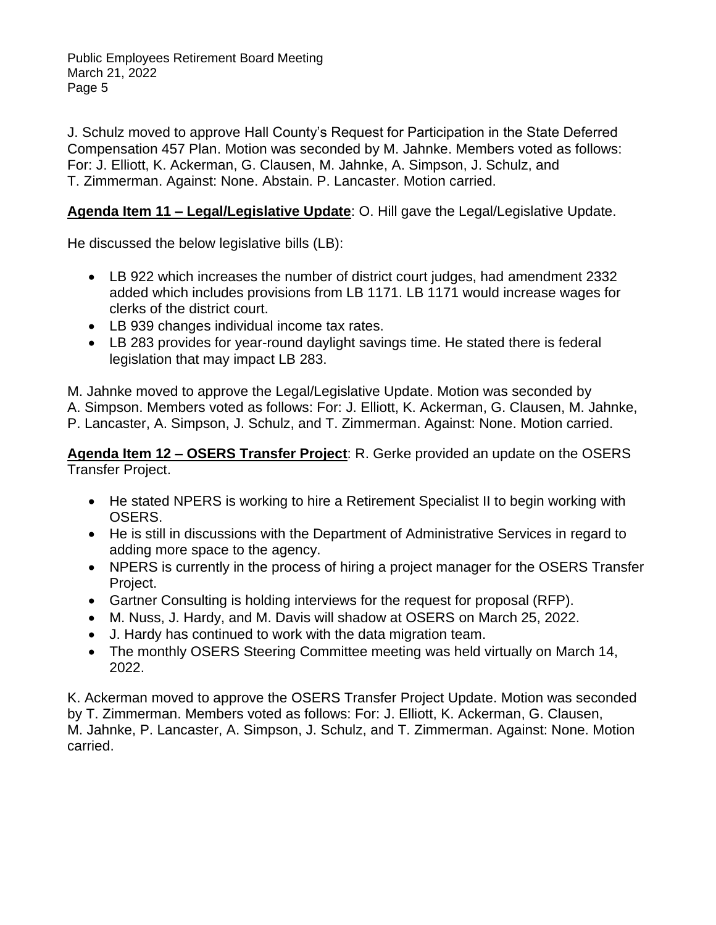J. Schulz moved to approve Hall County's Request for Participation in the State Deferred Compensation 457 Plan. Motion was seconded by M. Jahnke. Members voted as follows: For: J. Elliott, K. Ackerman, G. Clausen, M. Jahnke, A. Simpson, J. Schulz, and T. Zimmerman. Against: None. Abstain. P. Lancaster. Motion carried.

# **Agenda Item 11 – Legal/Legislative Update**: O. Hill gave the Legal/Legislative Update.

He discussed the below legislative bills (LB):

- LB 922 which increases the number of district court judges, had amendment 2332 added which includes provisions from LB 1171. LB 1171 would increase wages for clerks of the district court.
- LB 939 changes individual income tax rates.
- LB 283 provides for year-round daylight savings time. He stated there is federal legislation that may impact LB 283.

M. Jahnke moved to approve the Legal/Legislative Update. Motion was seconded by A. Simpson. Members voted as follows: For: J. Elliott, K. Ackerman, G. Clausen, M. Jahnke, P. Lancaster, A. Simpson, J. Schulz, and T. Zimmerman. Against: None. Motion carried.

**Agenda Item 12 – OSERS Transfer Project**: R. Gerke provided an update on the OSERS Transfer Project.

- He stated NPERS is working to hire a Retirement Specialist II to begin working with OSERS.
- He is still in discussions with the Department of Administrative Services in regard to adding more space to the agency.
- NPERS is currently in the process of hiring a project manager for the OSERS Transfer Project.
- Gartner Consulting is holding interviews for the request for proposal (RFP).
- M. Nuss, J. Hardy, and M. Davis will shadow at OSERS on March 25, 2022.
- J. Hardy has continued to work with the data migration team.
- The monthly OSERS Steering Committee meeting was held virtually on March 14, 2022.

K. Ackerman moved to approve the OSERS Transfer Project Update. Motion was seconded by T. Zimmerman. Members voted as follows: For: J. Elliott, K. Ackerman, G. Clausen, M. Jahnke, P. Lancaster, A. Simpson, J. Schulz, and T. Zimmerman. Against: None. Motion carried.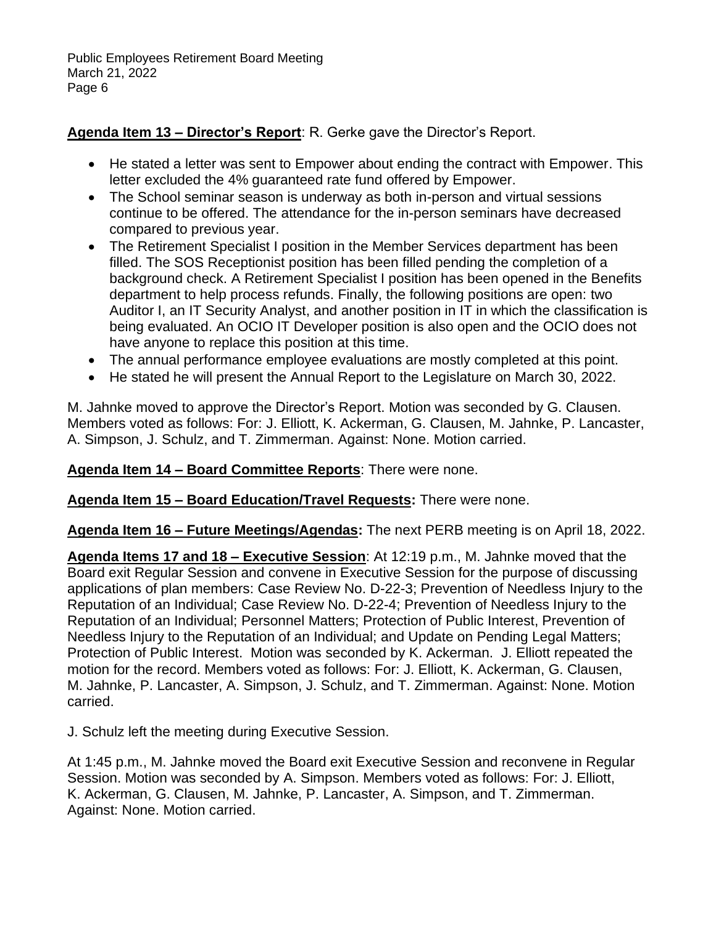# **Agenda Item 13 – Director's Report**: R. Gerke gave the Director's Report.

- He stated a letter was sent to Empower about ending the contract with Empower. This letter excluded the 4% guaranteed rate fund offered by Empower.
- The School seminar season is underway as both in-person and virtual sessions continue to be offered. The attendance for the in-person seminars have decreased compared to previous year.
- The Retirement Specialist I position in the Member Services department has been filled. The SOS Receptionist position has been filled pending the completion of a background check. A Retirement Specialist I position has been opened in the Benefits department to help process refunds. Finally, the following positions are open: two Auditor I, an IT Security Analyst, and another position in IT in which the classification is being evaluated. An OCIO IT Developer position is also open and the OCIO does not have anyone to replace this position at this time.
- The annual performance employee evaluations are mostly completed at this point.
- He stated he will present the Annual Report to the Legislature on March 30, 2022.

M. Jahnke moved to approve the Director's Report. Motion was seconded by G. Clausen. Members voted as follows: For: J. Elliott, K. Ackerman, G. Clausen, M. Jahnke, P. Lancaster, A. Simpson, J. Schulz, and T. Zimmerman. Against: None. Motion carried.

**Agenda Item 14 – Board Committee Reports**: There were none.

**Agenda Item 15 – Board Education/Travel Requests:** There were none.

**Agenda Item 16 – Future Meetings/Agendas:** The next PERB meeting is on April 18, 2022.

**Agenda Items 17 and 18 – Executive Session**: At 12:19 p.m., M. Jahnke moved that the Board exit Regular Session and convene in Executive Session for the purpose of discussing applications of plan members: Case Review No. D-22-3; Prevention of Needless Injury to the Reputation of an Individual; Case Review No. D-22-4; Prevention of Needless Injury to the Reputation of an Individual; Personnel Matters; Protection of Public Interest, Prevention of Needless Injury to the Reputation of an Individual; and Update on Pending Legal Matters; Protection of Public Interest. Motion was seconded by K. Ackerman. J. Elliott repeated the motion for the record. Members voted as follows: For: J. Elliott, K. Ackerman, G. Clausen, M. Jahnke, P. Lancaster, A. Simpson, J. Schulz, and T. Zimmerman. Against: None. Motion carried.

J. Schulz left the meeting during Executive Session.

At 1:45 p.m., M. Jahnke moved the Board exit Executive Session and reconvene in Regular Session. Motion was seconded by A. Simpson. Members voted as follows: For: J. Elliott, K. Ackerman, G. Clausen, M. Jahnke, P. Lancaster, A. Simpson, and T. Zimmerman. Against: None. Motion carried.